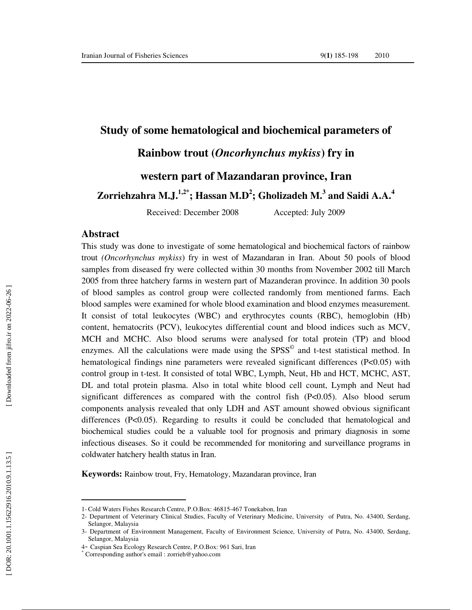# **Study of some hematological and biochemical parameters of**

# **Rainbow trout (***Oncorhynchus mykiss***) fry in**

# **western part of Mazandaran province, Iran**

**Zorriehzahra M.J.1,2\*; Hassan M.D 2 ; Gholizadeh M. 3 and Saidi A.A. 4**

Received: December 2008 Accepted: July 2009

### **Abstract**

 $\overline{a}$ 

This study was done to investigate of some hematological and biochemical factors of rainbow trout *(Oncorhynchus mykiss*) fry in west of Mazandaran in Iran. About 50 pools of blood samples from diseased fry were collected within 30 months from November 2002 till March 2005 from three hatchery farms in western part of Mazanderan province. In addition 30 pools of blood samples as control group were collected randomly from mentioned farms. Each blood samples were examined for whole blood examination and blood enzymes measurement. It consist of total leukocytes (WBC) and erythrocytes counts (RBC), hemoglobin (Hb) content, hematocrits (PCV), leukocytes differential count and blood indices such as MCV, MCH and MCHC. Also blood serums were analysed for total protein (TP) and blood enzymes. All the calculations were made using the SPSS<sup>©</sup> and t-test statistical method. In hematological findings nine parameters were revealed significant differences (P<0.05) with control group in t-test. It consisted of total WBC, Lymph, Neut, Hb and HCT, MCHC, AST, DL and total protein plasma. Also in total white blood cell count, Lymph and Neut had significant differences as compared with the control fish (P<0.05). Also blood serum components analysis revealed that only LDH and AST amount showed obvious significant differences  $(P<0.05)$ . Regarding to results it could be concluded that hematological and biochemical studies could be a valuable tool for prognosis and primary diagnosis in some infectious diseases. So it could be recommended for monitoring and surveillance programs in coldwater hatchery health status in Iran.

**Keywords:** Rainbow trout, Fry, Hematology, Mazandaran province, Iran

<sup>1-</sup> Cold Waters Fishes Research Centre, P.O.Box: 46815-467 Tonekabon, Iran

<sup>2-</sup> Department of Veterinary Clinical Studies, Faculty of Veterinary Medicine, University of Putra, No. 43400, Serdang, Selangor, Malaysia

<sup>3-</sup> Department of Environment Management, Faculty of Environment Science, University of Putra, No. 43400, Serdang, Selangor, Malaysia

<sup>4</sup>- Caspian Sea Ecology Research Centre, P.O.Box: 961 Sari, Iran \*

Corresponding author's email : zorrieh@yahoo.com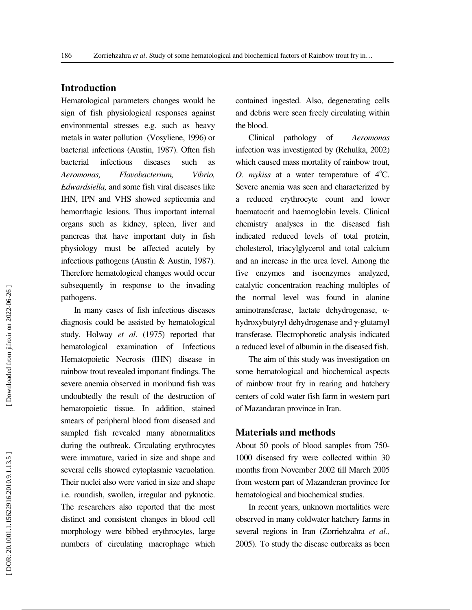## **Introduction**

Hematological parameters changes would be sign of fish physiological responses against environmental stresses e.g. such as heavy metals in water pollution (Vosyliene, 1996) or bacterial infections (Austin, 1987). Often fish bacterial infectious diseases such as *Aeromonas, Flavobacterium, Vibrio, Edwardsiella,* and some fish viral diseases like IHN, IPN and VHS showed septicemia and hemorrhagic lesions. Thus important internal organs such as kidney, spleen, liver and pancreas that have important duty in fish physiology must be affected acutely by infectious pathogens (Austin & Austin, 1987). Therefore hematological changes would occur subsequently in response to the invading pathogens.

In many cases of fish infectious diseases diagnosis could be assisted by hematological study. Holway *et al*. (1975) reported that hematological examination of Infectious Hematopoietic Necrosis (IHN) disease in rainbow trout revealed important findings. The severe anemia observed in moribund fish was undoubtedly the result of the destruction of hematopoietic tissue. In addition, stained smears of peripheral blood from diseased and sampled fish revealed many abnormalities during the outbreak. Circulating erythrocytes were immature, varied in size and shape and several cells showed cytoplasmic vacuolation. Their nuclei also were varied in size and shape i.e. roundish, swollen, irregular and pyknotic. The researchers also reported that the most distinct and consistent changes in blood cell morphology were bibbed erythrocytes, large numbers of circulating macrophage which

contained ingested. Also, degenerating cells and debris were seen freely circulating within the blood.

Clinical pathology of *Aeromonas*  infection was investigated by (Rehulka, 2002) which caused mass mortality of rainbow trout, *O. mykiss* at a water temperature of  $4^{\circ}$ C. Severe anemia was seen and characterized by a reduced erythrocyte count and lower haematocrit and haemoglobin levels. Clinical chemistry analyses in the diseased fish indicated reduced levels of total protein, cholesterol, triacylglycerol and total calcium and an increase in the urea level. Among the five enzymes and isoenzymes analyzed, catalytic concentration reaching multiples of the normal level was found in alanine aminotransferase, lactate dehydrogenase, α hydroxybutyryl dehydrogenase and γ-glutamyl transferase. Electrophoretic analysis indicated a reduced level of albumin in the diseased fish.

The aim of this study was investigation on some hematological and biochemical aspects of rainbow trout fry in rearing and hatchery centers of cold water fish farm in western part of Mazandaran province in Iran.

### **Materials and methods**

About 50 pools of blood samples from 750- 1000 diseased fry were collected within 30 months from November 2002 till March 2005 from western part of Mazanderan province for hematological and biochemical studies.

In recent years, unknown mortalities were observed in many coldwater hatchery farms in several regions in Iran (Zorriehzahra *et al.,* 2005). To study the disease outbreaks as been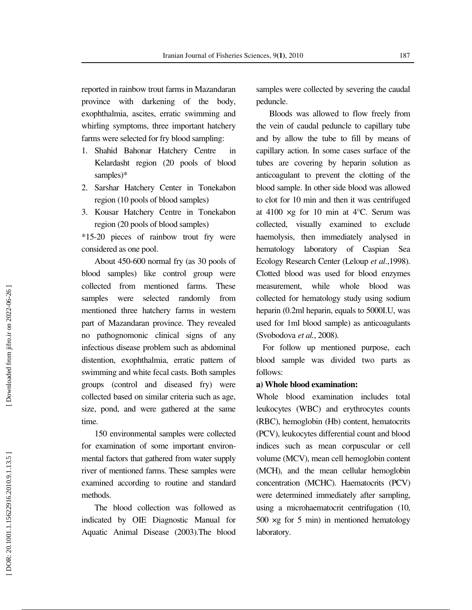reported in rainbow trout farms in Mazandaran province with darkening of the body, exophthalmia, ascites, erratic swimming and whirling symptoms, three important hatchery farms were selected for fry blood sampling:

- 1. Shahid Bahonar Hatchery Centre in Kelardasht region (20 pools of blood samples)\*
- 2. Sarshar Hatchery Center in Tonekabon region (10 pools of blood samples)
- 3. Kousar Hatchery Centre in Tonekabon region (20 pools of blood samples)

\*15-20 pieces of rainbow trout fry were considered as one pool.

About 450-600 normal fry (as 30 pools of blood samples) like control group were collected from mentioned farms. These samples were selected randomly from mentioned three hatchery farms in western part of Mazandaran province. They revealed no pathognomonic clinical signs of any infectious disease problem such as abdominal distention, exophthalmia, erratic pattern of swimming and white fecal casts. Both samples groups (control and diseased fry) were collected based on similar criteria such as age, size, pond, and were gathered at the same time.

150 environmental samples were collected for examination of some important environmental factors that gathered from water supply river of mentioned farms. These samples were examined according to routine and standard methods.

The blood collection was followed as indicated by OIE Diagnostic Manual for Aquatic Animal Disease (2003).The blood samples were collected by severing the caudal peduncle.

Bloods was allowed to flow freely from the vein of caudal peduncle to capillary tube and by allow the tube to fill by means of capillary action. In some cases surface of the tubes are covering by heparin solution as anticoagulant to prevent the clotting of the blood sample. In other side blood was allowed to clot for 10 min and then it was centrifuged at 4100  $\times$ g for 10 min at 4 $\degree$ C. Serum was collected, visually examined to exclude haemolysis, then immediately analysed in hematology laboratory of Caspian Sea Ecology Research Center (Leloup *et al*.,1998). Clotted blood was used for blood enzymes measurement, while whole blood was collected for hematology study using sodium heparin (0.2ml heparin, equals to 5000I.U, was used for 1ml blood sample) as anticoagulants (Svobodova *et al.*, 2008).

For follow up mentioned purpose, each blood sample was divided two parts as follows:

## **a) Whole blood examination:**

Whole blood examination includes total leukocytes (WBC) and erythrocytes counts (RBC), hemoglobin (Hb) content, hematocrits (PCV), leukocytes differential count and blood indices such as mean corpuscular or cell volume (MCV), mean cell hemoglobin content (MCH), and the mean cellular hemoglobin concentration (MCHC). Haematocrits (PCV) were determined immediately after sampling, using a microhaematocrit centrifugation (10, 500 ×g for 5 min) in mentioned hematology laboratory.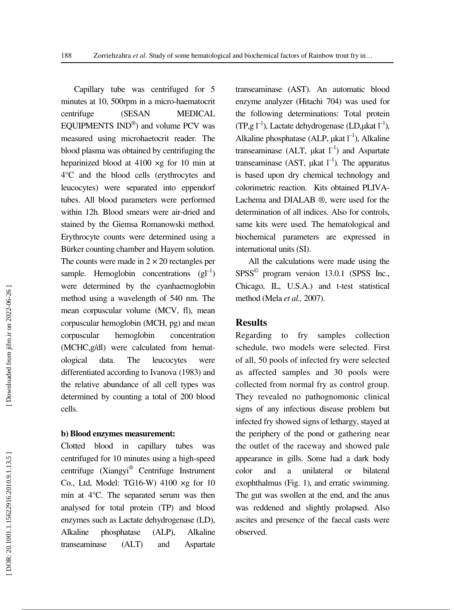Capillary tube was centrifuged for 5 minutes at 10, 500rpm in a micro-haematocrit centrifuge (SESAN MEDICAL EQUIPMENTS IND<sup>®</sup>) and volume PCV was measured using microhaetocrit reader. The blood plasma was obtained by centrifuging the heparinized blood at 4100 ×g for 10 min at 4°C and the blood cells (erythrocytes and leucocytes) were separated into eppendorf tubes. All blood parameters were performed within 12h. Blood smears were air-dried and stained by the Giemsa Romanowski method. Erythrocyte counts were determined using a Bürker counting chamber and Hayem solution. The counts were made in  $2 \times 20$  rectangles per sample. Hemoglobin concentrations  $(g_l^{-1})$ were determined by the cyanhaemoglobin method using a wavelength of 540 nm. The mean corpuscular volume (MCV, fl), mean corpuscular hemoglobin (MCH, pg) and mean corpuscular hemoglobin concentration (MCHC,g/dl) were calculated from hematological data. The leucocytes were differentiated according to Ivanova (1983) and the relative abundance of all cell types was determined by counting a total of 200 blood cells.

#### **b) Blood enzymes measurement:**

Clotted blood in capillary tubes was centrifuged for 10 minutes using a high-speed centrifuge (Xiangyi ® Centrifuge Instrument Co., Ltd, Model: TG16-W) 4100 ×g for 10 min at 4°C. The separated serum was then analysed for total protein (TP) and blood enzymes such as Lactate dehydrogenase (LD), Alkaline phosphatase (ALP), Alkaline transeaminase (ALT) and Aspartate

transeaminase (AST). An automatic blood enzyme analyzer (Hitachi 704) was used for the following determinations: Total protein (TP,g  $l^{-1}$ ), Lactate dehydrogenase (LD,µkat  $l^{-1}$ ), Alkaline phosphatase (ALP,  $\mu$ kat  $I^{-1}$ ), Alkaline transeaminase (ALT,  $\mu$ kat  $l^{-1}$ ) and Aspartate transeaminase (AST,  $\mu$ kat  $I^{-1}$ ). The apparatus is based upon dry chemical technology and colorimetric reaction. Kits obtained PLIVA-Lachema and DIALAB ®, were used for the determination of all indices. Also for controls, same kits were used. The hematological and biochemical parameters are expressed in international units (SI).

All the calculations were made using the SPSS © program version 13.0.1 (SPSS Inc., Chicago, IL, U.S.A.) and t-test statistical method (Mela *et al.,* 2007).

# **Results**

Regarding to fry samples collection schedule, two models were selected. First of all, 50 pools of infected fry were selected as affected samples and 30 pools were collected from normal fry as control group. They revealed no pathognomonic clinical signs of any infectious disease problem but infected fry showed signs of lethargy, stayed at the periphery of the pond or gathering near the outlet of the raceway and showed pale appearance in gills. Some had a dark body color and a unilateral or bilateral exophthalmus (Fig. 1), and erratic swimming. The gut was swollen at the end, and the anus was reddened and slightly prolapsed. Also ascites and presence of the faecal casts were observed.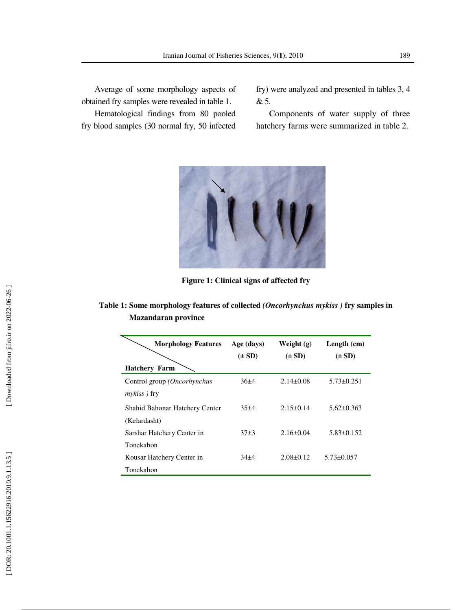Average of some morphology aspects of obtained fry samples were revealed in table 1.

Hematological findings from 80 pooled fry blood samples (30 normal fry, 50 infected fry) were analyzed and presented in tables 3, 4 & 5.

Components of water supply of three hatchery farms were summarized in table 2.



**Figure 1: Clinical signs of affected fry** 

**Table 1: Some morphology features of collected** *(Oncorhynchus mykiss )* **fry samples in Mazandaran province** 

| <b>Morphology Features</b>            | Age (days) | Weight $(g)$    | Length $(cm)$    |
|---------------------------------------|------------|-----------------|------------------|
|                                       | $(\pm SD)$ | $(\pm SD)$      | $(\pm SD)$       |
| <b>Hatchery Farm</b>                  |            |                 |                  |
| Control group (Oncorhynchus           | $36\pm4$   | $2.14\pm0.08$   | $5.73 \pm 0.251$ |
| <i>mykiss</i> ) fry                   |            |                 |                  |
| <b>Shahid Bahonar Hatchery Center</b> | $35 + 4$   | $2.15+0.14$     | $5.62 \pm 0.363$ |
| (Kelardasht)                          |            |                 |                  |
| Sarshar Hatchery Center in            | $37+3$     | $2.16 \pm 0.04$ | $5.83\pm0.152$   |
| Tonekabon                             |            |                 |                  |
| Kousar Hatchery Center in             | $34+4$     | $2.08 + 0.12$   | $5.73 \pm 0.057$ |
| Tonekabon                             |            |                 |                  |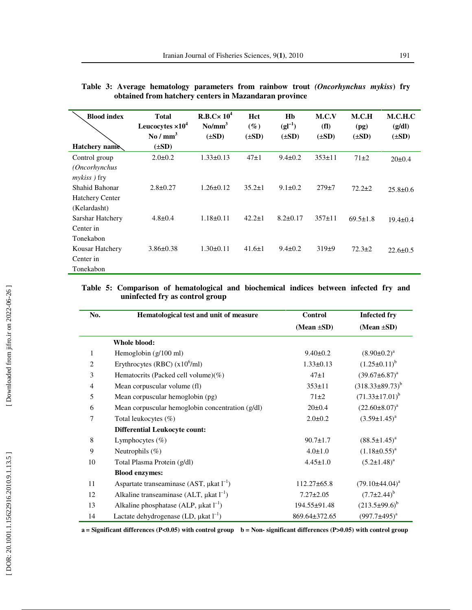| <b>Blood index</b><br>Hatchery name                          | <b>Total</b><br>Leucocytes $\times 10^4$<br>$\mathrm{No}\,/\mathrm{mm}^3$<br>$(\pm SD)$ | R.B.Cx 10 <sup>4</sup><br>$\text{No/mm}^3$<br>$(\pm SD)$ | Hct<br>$(\%)$<br>$(\pm SD)$ | Hb<br>$(gI^{-1})$<br>$(\pm SD)$ | M.C.V<br>(f)<br>$(\pm SD)$ | M.C.H<br>(pg)<br>$(\pm SD)$ | M.C.H.C<br>(g/dl)<br>$(\pm SD)$ |
|--------------------------------------------------------------|-----------------------------------------------------------------------------------------|----------------------------------------------------------|-----------------------------|---------------------------------|----------------------------|-----------------------------|---------------------------------|
| Control group<br><i>(Oncorhynchus</i><br><i>mykiss</i> ) fry | $2.0 \pm 0.2$                                                                           | $1.33 \pm 0.13$                                          | $47\pm1$                    | $9.4 \pm 0.2$                   | $353 \pm 11$               | $71\pm2$                    | $20 \pm 0.4$                    |
| Shahid Bahonar<br><b>Hatchery Center</b>                     | $2.8 \pm 0.27$                                                                          | $1.26 \pm 0.12$                                          | $35.2 \pm 1$                | $9.1 \pm 0.2$                   | $279 + 7$                  | $72.2 \pm 2$                | $25.8 \pm 0.6$                  |
| (Kelardasht)<br>Sarshar Hatchery<br>Center in                | $4.8 \pm 0.4$                                                                           | $1.18 \pm 0.11$                                          | $42.2 \pm 1$                | $8.2 + 0.17$                    | $357+11$                   | $69.5 \pm 1.8$              | $19.4 \pm 0.4$                  |
| Tonekabon<br>Kousar Hatchery<br>Center in<br>Tonekabon       | $3.86 \pm 0.38$                                                                         | $1.30 \pm 0.11$                                          | $41.6 \pm 1$                | $9.4 \pm 0.2$                   | 319±9                      | $72.3 \pm 2$                | $22.6 \pm 0.5$                  |

|                                                       |  |  |  |  |  |  |  | Table 3: Average hematology parameters from rainbow trout (Oncorhynchus mykiss) fry |  |  |
|-------------------------------------------------------|--|--|--|--|--|--|--|-------------------------------------------------------------------------------------|--|--|
| obtained from hatchery centers in Mazandaran province |  |  |  |  |  |  |  |                                                                                     |  |  |

# **Table 5: Comparison of hematological and biochemical indices between infected fry and uninfected fry as control group**

| No.          | Hematological test and unit of measure             | <b>Control</b>   | <b>Infected fry</b>    |
|--------------|----------------------------------------------------|------------------|------------------------|
|              |                                                    | $(Mean \pm SD)$  | $(Mean \pm SD)$        |
|              | Whole blood:                                       |                  |                        |
| $\mathbf{1}$ | Hemoglobin $(g/100 \text{ ml})$                    | $9.40 \pm 0.2$   | $(8.90 \pm 0.2)^a$     |
| 2            | Erythrocytes (RBC) $(x10^6\text{/ml})$             | $1.33 \pm 0.13$  | $(1.25 \pm 0.11)^{b}$  |
| 3            | Hematocrits (Packed cell volume)(%)                | $47\pm1$         | $(39.67 \pm 6.87)^a$   |
| 4            | Mean corpuscular volume (fl)                       | $353 \pm 11$     | $(318.33\pm89.73)^{b}$ |
| 5            | Mean corpuscular hemoglobin (pg)                   | $71\pm2$         | $(71.33 \pm 17.01)^b$  |
| 6            | Mean corpuscular hemoglobin concentration (g/dl)   | $20 \pm 0.4$     | $(22.60 \pm 8.07)^a$   |
| 7            | Total leukocytes (%)                               | $2.0 \pm 0.2$    | $(3.59 \pm 1.45)^a$    |
|              | <b>Differential Leukocyte count:</b>               |                  |                        |
| 8            | Lymphocytes $(\%)$                                 | $90.7 \pm 1.7$   | $(88.5 \pm 1.45)^{a}$  |
| 9            | Neutrophils $(\%)$                                 | $4.0 \pm 1.0$    | $(1.18 \pm 0.55)^{a}$  |
| 10           | Total Plasma Protein (g/dl)                        | $4.45 \pm 1.0$   | $(5.2 \pm 1.48)^a$     |
|              | <b>Blood enzymes:</b>                              |                  |                        |
| 11           | Aspartate transeaminase (AST, $\mu$ kat $I^{-1}$ ) | $112.27\pm 65.8$ | $(79.10\pm44.04)^a$    |
| 12           | Alkaline transeaminase (ALT, $\mu$ kat $I^{-1}$ )  | $7.27 \pm 2.05$  | $(7.7 \pm 2.44)^{b}$   |
| 13           | Alkaline phosphatase (ALP, $\mu$ kat $l^{-1}$ )    | 194.55±91.48     | $(213.5\pm99.6)^b$     |
| 14           | Lactate dehydrogenase (LD, $\mu$ kat $I^{-1}$ )    | 869.64±372.65    | $(997.7 \pm 495)^a$    |

**a** = Significant differences (P<0.05) with control group **b** = Non- significant differences (P>0.05) with control group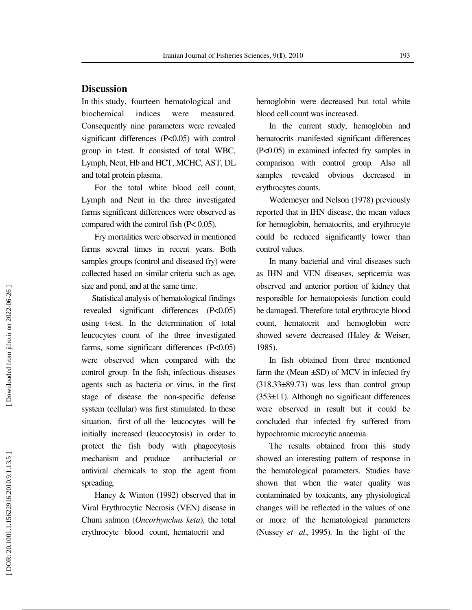# **Discussion**

In this study, fourteen hematological and biochemical indices were measured. Consequently nine parameters were revealed significant differences (P<0.05) with control group in t-test. It consisted of total WBC, Lymph, Neut, Hb and HCT, MCHC, AST, DL and total protein plasma.

For the total white blood cell count, Lymph and Neut in the three investigated farms significant differences were observed as compared with the control fish (P< 0.05).

Fry mortalities were observed in mentioned farms several times in recent years. Both samples groups (control and diseased fry) were collected based on similar criteria such as age, size and pond, and at the same time.

 Statistical analysis of hematological findings revealed significant differences (P<0.05) using t-test. In the determination of total leucocytes count of the three investigated farms, some significant differences (P<0.05) were observed when compared with the control group . In the fish, infectious diseases agents such as bacteria or virus, in the first stage of disease the non-specific defense system (cellular) was first stimulated. In these situation, first of all the leucocytes will be initially increased (leucocytosis) in order to protect the fish body with phagocytosis mechanism and produce antibacterial or antiviral chemicals to stop the agent from spreading.

Haney & Winton (1992) observed that in Viral Erythrocytic Necrosis (VEN) disease in Chum salmon (*Oncorhynchus keta*), the total erythrocyte blood count, hematocrit and

hemoglobin were decreased but total white blood cell count was increased.

In the current study, hemoglobin and hematocrits manifested significant differences (P<0.05) in examined infected fry samples in comparison with control group. Also all samples revealed obvious decreased in erythrocytes counts.

Wedemeyer and Nelson (1978) previously reported that in IHN disease, the mean values for hemoglobin, hematocrits, and erythrocyte could be reduced significantly lower than control values .

In many bacterial and viral diseases such as IHN and VEN diseases, septicemia was observed and anterior portion of kidney that responsible for hematopoiesis function could be damaged. Therefore total erythrocyte blood count, hematocrit and hemoglobin were showed severe decreased (Haley & Weiser, 1985).

In fish obtained from three mentioned farm the (Mean  $\pm$ SD) of MCV in infected fry  $(318.33\pm89.73)$  was less than control group (353±11). Although no significant differences were observed in result but it could be concluded that infected fry suffered from hypochromic microcytic anaemia.

The results obtained from this study showed an interesting pattern of response in the hematological parameters. Studies have shown that when the water quality was contaminated by toxicants, any physiological changes will be reflected in the values of one or more of the hematological parameters (Nussey *et al.*, 1995). In the light of the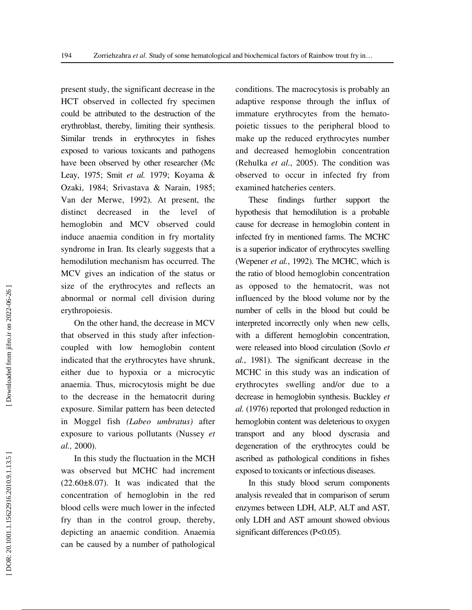present study, the significant decrease in the HCT observed in collected fry specimen could be attributed to the destruction of the erythroblast, thereby, limiting their synthesis. Similar trends in erythrocytes in fishes exposed to various toxicants and pathogens have been observed by other researcher (Mc Leay, 1975; Smit *et al.* 1979; Koyama & Ozaki, 1984; Srivastava & Narain, 1985; Van der Merwe, 1992). At present, the distinct decreased in the level of hemoglobin and MCV observed could induce anaemia condition in fry mortality syndrome in Iran. Its clearly suggests that a hemodilution mechanism has occurred. The MCV gives an indication of the status or size of the erythrocytes and reflects an abnormal or normal cell division during erythropoiesis.

On the other hand, the decrease in MCV that observed in this study after infectioncoupled with low hemoglobin content indicated that the erythrocytes have shrunk, either due to hypoxia or a microcytic anaemia. Thus, microcytosis might be due to the decrease in the hematocrit during exposure. Similar pattern has been detected in Moggel fish *(Labeo umbratus)* after exposure to various pollutants (Nussey *et al.,* 2000).

In this study the fluctuation in the MCH was observed but MCHC had increment  $(22.60\pm8.07)$ . It was indicated that the concentration of hemoglobin in the red blood cells were much lower in the infected fry than in the control group, thereby, depicting an anaemic condition. Anaemia can be caused by a number of pathological conditions. The macrocytosis is probably an adaptive response through the influx of immature erythrocytes from the hematopoietic tissues to the peripheral blood to make up the reduced erythrocytes number and decreased hemoglobin concentration (Rehulka *et al*., 2005). The condition was observed to occur in infected fry from examined hatcheries centers.

These findings further support the hypothesis that hemodilution is a probable cause for decrease in hemoglobin content in infected fry in mentioned farms. The MCHC is a superior indicator of erythrocytes swelling (Wepener *et al.*, 1992). The MCHC, which is the ratio of blood hemoglobin concentration as opposed to the hematocrit, was not influenced by the blood volume nor by the number of cells in the blood but could be interpreted incorrectly only when new cells, with a different hemoglobin concentration, were released into blood circulation (Sovlo *et al.*, 1981). The significant decrease in the MCHC in this study was an indication of erythrocytes swelling and/or due to a decrease in hemoglobin synthesis. Buckley *et al.* (1976) reported that prolonged reduction in hemoglobin content was deleterious to oxygen transport and any blood dyscrasia and degeneration of the erythrocytes could be ascribed as pathological conditions in fishes exposed to toxicants or infectious diseases.

In this study blood serum components analysis revealed that in comparison of serum enzymes between LDH, ALP, ALT and AST, only LDH and AST amount showed obvious significant differences (P<0.05).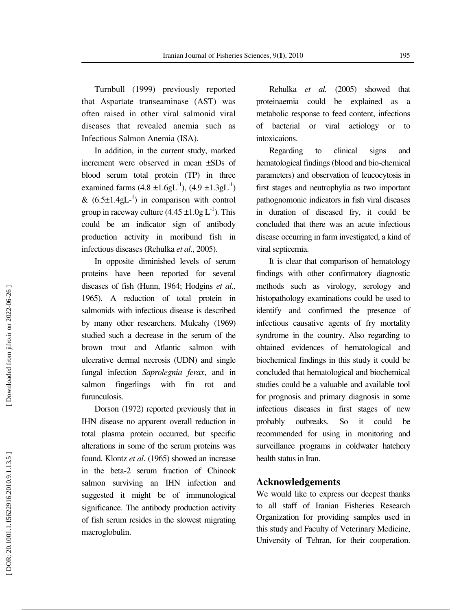Turnbull (1999) previously reported that Aspartate transeaminase (AST) was often raised in other viral salmonid viral diseases that revealed anemia such as Infectious Salmon Anemia (ISA).

In addition, in the current study, marked increment were observed in mean ±SDs of blood serum total protein (TP) in three examined farms  $(4.8 \pm 1.6 \text{gL}^{-1})$ ,  $(4.9 \pm 1.3 \text{gL}^{-1})$ &  $(6.5 \pm 1.4 \text{ gL}^{-1})$  in comparison with control group in raceway culture  $(4.45 \pm 1.0$ g L<sup>-1</sup>). This could be an indicator sign of antibody production activity in moribund fish in infectious diseases (Rehulka *et al*., 2005).

In opposite diminished levels of serum proteins have been reported for several diseases of fish (Hunn, 1964; Hodgins *et al.,* 1965). A reduction of total protein in salmonids with infectious disease is described by many other researchers. Mulcahy (1969) studied such a decrease in the serum of the brown trout and Atlantic salmon with ulcerative dermal necrosis (UDN) and single fungal infection *Saprolegnia ferax*, and in salmon fingerlings with fin rot and furunculosis.

Dorson (1972) reported previously that in IHN disease no apparent overall reduction in total plasma protein occurred, but specific alterations in some of the serum proteins was found. Klontz *et al*. (1965) showed an increase in the beta-2 serum fraction of Chinook salmon surviving an IHN infection and suggested it might be of immunological significance. The antibody production activity of fish serum resides in the slowest migrating macroglobulin.

Rehulka *et al.* (2005) showed that proteinaemia could be explained as a metabolic response to feed content, infections of bacterial or viral aetiology or to intoxicaions.

Regarding to clinical signs and hematological findings (blood and bio-chemical parameters) and observation of leucocytosis in first stages and neutrophylia as two important pathognomonic indicators in fish viral diseases in duration of diseased fry, it could be concluded that there was an acute infectious disease occurring in farm investigated, a kind of viral septicemia.

It is clear that comparison of hematology findings with other confirmatory diagnostic methods such as virology, serology and histopathology examinations could be used to identify and confirmed the presence of infectious causative agents of fry mortality syndrome in the country. Also regarding to obtained evidences of hematological and biochemical findings in this study it could be concluded that hematological and biochemical studies could be a valuable and available tool for prognosis and primary diagnosis in some infectious diseases in first stages of new probably outbreaks. So it could be recommended for using in monitoring and surveillance programs in coldwater hatchery health status in Iran.

## **Acknowledgements**

We would like to express our deepest thanks to all staff of Iranian Fisheries Research Organization for providing samples used in this study and Faculty of Veterinary Medicine, University of Tehran, for their cooperation.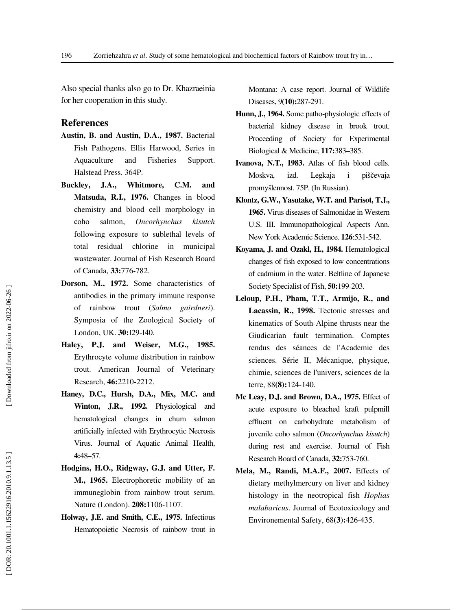Also special thanks also go to Dr. Khazraeinia for her cooperation in this study.

## **References**

- **Austin, B. and Austin, D.A., 1987.** Bacterial Fish Pathogens. Ellis Harwood, Series in Aquaculture and Fisheries Support. Halstead Press. 364P.
- **Buckley, J.A., Whitmore, C.M. and Matsuda, R.I., 1976.** Changes in blood chemistry and blood cell morphology in coho salmon, *Oncorhynchus kisutch* following exposure to sublethal levels of total residual chlorine in municipal wastewater. Journal of Fish Research Board of Canada, **33:**776-782.
- **Dorson, M., 1972.** Some characteristics of antibodies in the primary immune response of rainbow trout (*Salmo gairdneri*). Symposia of the Zoological Society of London, UK. **30:**I29-I40.
- **Haley, P.J. and Weiser, M.G., 1985.** Erythrocyte volume distribution in rainbow trout. American Journal of Veterinary Research, **46:**2210-2212.
- **Haney, D.C., Hursh, D.A., Mix, M.C. and Winton, J.R., 1992.** Physiological and hematological changes in chum salmon artificially infected with Erythrocytic Necrosis Virus. Journal of Aquatic Animal Health, **4:**48–57.
- **Hodgins, H.O., Ridgway, G.J. and Utter, F. M., 1965.** Electrophoretic mobility of an immuneglobin from rainbow trout serum. Nature (London). **208:**1106-1107.
- **Holway, J.E. and Smith, C.E., 1975.** Infectious Hematopoietic Necrosis of rainbow trout in

Montana: A case report. Journal of Wildlife Diseases, 9**(10):**287-291.

- **Hunn, J., 1964.** Some patho-physiologic effects of bacterial kidney disease in brook trout. Proceeding of Society for Experimental Biological & Medicine, **117:**383–385.
- **Ivanova, N.T., 1983.** Atlas of fish blood cells. Moskva, izd. Legkaja i piščevaja promyšlennost. 75P. (In Russian).
- **Klontz, G.W., Yasutake, W.T. and Parisot, T.J., 1965.** Virus diseases of Salmonidae in Western U.S. III. Immunopathological Aspects Ann. New York Academic Science. **126**:531-542.
- **Koyama, J. and Ozakl, H., 1984.** Hematological changes of fish exposed to low concentrations of cadmium in the water. Beltline of Japanese Society Specialist of Fish, **50:**199-203.
- **Leloup, P.H., Pham, T.T., Armijo, R., and Lacassin, R., 1998.** Tectonic stresses and kinematics of South-Alpine thrusts near the Giudicarian fault termination. Comptes rendus des séances de l'Academie des sciences. Série II, Mécanique, physique, chimie, sciences de l'univers, sciences de la terre, 88**(8):**124-140.
- **Mc Leay, D.J. and Brown, D.A., 1975.** Effect of acute exposure to bleached kraft pulpmill effluent on carbohydrate metabolism of juvenile coho salmon (*Oncorhynchus kisutch*) during rest and exercise. Journal of Fish Research Board of Canada, **32:**753-760.
- **Mela, M., Randi, M.A.F., 2007.** Effects of dietary methylmercury on liver and kidney histology in the neotropical fish *Hoplias malabaricus* . Journal of Ecotoxicology and Environemental Safety, 68**(3):**426-435.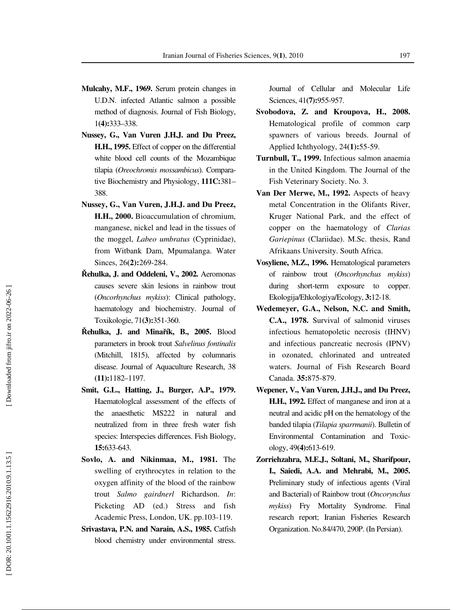- **Mulcahy, M.F., 1969.** Serum protein changes in U.D.N. infected Atlantic salmon a possible method of diagnosis. Journal of Fish Biology, 1**(4):**333–338.
- **Nussey, G., Van Vuren J.H.J. and Du Preez, H.H., 1995.** Effect of copper on the differential white blood cell counts of the Mozambique tilapia (*Oreochromis mossambicus*). Comparative Biochemistry and Physiology, **111C:**381– 388.
- **Nussey, G., Van Vuren, J.H.J. and Du Preez, H.H., 2000.** Bioaccumulation of chromium, manganese, nickel and lead in the tissues of the moggel, *Labeo umbratus* (Cyprinidae), from Witbank Dam, Mpumalanga. Water Sinces, 26**(2):**269-284.
- Ř**ehulka, J. and Oddeleni, V., 2002.** Aeromonas causes severe skin lesions in rainbow trout (*Oncorhynchus mykiss*): Clinical pathology, haematology and biochemistry. Journal of Toxikologie, 71**(3):**351-360.
- Ř**ehulka, J. and Mina** ř**ík, B., 2005.** Blood parameters in brook trout *Salvelinus fontinalis* (Mitchill, 1815), affected by columnaris disease. Journal of Aquaculture Research, 38 **(11):**1182–1197.
- **Smit, G.L., Hatting, J., Burger, A.P., 1979.**  Haematologlcal assessment of the effects of the anaesthetic MS222 in natural and neutralized from in three fresh water fish species: Interspecies differences. Fish Biology, **15:**633-643.
- **Sovlo, A. and Nikinmaa, M., 1981.** The swelling of erythrocytes in relation to the oxygen affinity of the blood of the rainbow trout *Salmo gairdnerl* Richardson. *In*: Picketing AD (ed.) Stress and fish Academic Press, London, UK. pp.103-119.
- **Srivastava, P.N. and Narain, A.S., 1985.** Catfish blood chemistry under environmental stress.

Journal of Cellular and Molecular Life Sciences, 41**(7):**955-957.

- **Svobodova, Z. and Kroupova, H., 2008.** Hematological profile of common carp spawners of various breeds. Journal of Applied Ichthyology, 24**(1):**55-59.
- **Turnbull, T., 1999.** Infectious salmon anaemia in the United Kingdom. The Journal of the Fish Veterinary Society. No. 3.
- **Van Der Merwe, M., 1992.** Aspects of heavy metal Concentration in the Olifants River, Kruger National Park, and the effect of copper on the haematology of *Clarias Gariepinus* (Clariidae). M.Sc. thesis, Rand Afrikaans University. South Africa.
- **Vosyliene, M.Z., 1996.** Hematological parameters of rainbow trout (*Oncorhynchus mykiss*) during short-term exposure to copper. Ekologija/Ehkologiya/Ecology, **3:**12-18.
- **Wedemeyer, G.A., Nelson, N.C. and Smith, C.A., 1978.** Survival of salmonid viruses infectious hematopoletic necrosis (IHNV) and infectious pancreatic necrosis (IPNV) in ozonated, chlorinated and untreated waters. Journal of Fish Research Board Canada. **35:**875-879.
- **Wepener, V., Van Vuren, J.H.J., and Du Preez, H.H., 1992.** Effect of manganese and iron at a neutral and acidic pH on the hematology of the banded tilapia (*Tilapia sparrmanii*). Bulletin of Environmental Contamination and Toxicology, 49**(4):**613-619.
- **Zorriehzahra, M.E.J., Soltani, M., Sharifpour, I., Saiedi, A.A. and Mehrabi, M., 2005.** Preliminary study of infectious agents (Viral and Bacterial) of Rainbow trout (*Oncorynchus mykiss*) Fry Mortality Syndrome. Final research report; Iranian Fisheries Research Organization. No.84/470, 290P. (In Persian).